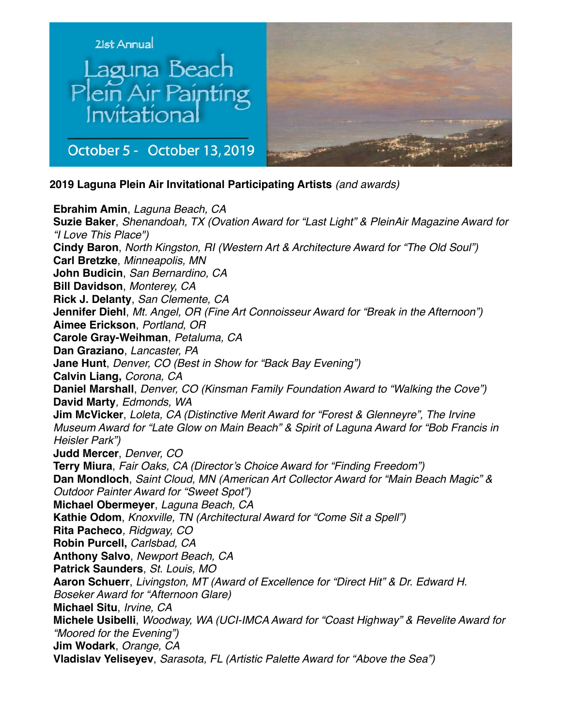



October 5 - October 13, 2019

**2019 Laguna Plein Air Invitational Participating Artists** *(and awards)*

**Ebrahim Amin**, *Laguna Beach, CA* **Suzie Baker**, *Shenandoah, TX (Ovation Award for "Last Light" & PleinAir Magazine Award for "I Love This Place")* **Cindy Baron**, *North Kingston, RI (Western Art & Architecture Award for "The Old Soul")* **Carl Bretzke**, *Minneapolis, MN* **John Budicin**, *San Bernardino, CA* **Bill Davidson**, *Monterey, CA* **Rick J. Delanty**, *San Clemente, CA* **Jennifer Diehl**, *Mt. Angel, OR (Fine Art Connoisseur Award for "Break in the Afternoon")* **Aimee Erickson**, *Portland, OR* **Carole Gray-Weihman**, *Petaluma, CA* **Dan Graziano**, *Lancaster, PA* **Jane Hunt**, *Denver, CO (Best in Show for "Back Bay Evening")* **Calvin Liang,** *Corona, CA* **Daniel Marshall**, *Denver, CO (Kinsman Family Foundation Award to "Walking the Cove")* **David Marty***, Edmonds, WA* **Jim McVicker**, *Loleta, CA (Distinctive Merit Award for "Forest & Glenneyre", The Irvine Museum Award for "Late Glow on Main Beach" & Spirit of Laguna Award for "Bob Francis in Heisler Park")* **Judd Mercer**, *Denver, CO* **Terry Miura**, *Fair Oaks, CA (Director's Choice Award for "Finding Freedom")* **Dan Mondloch**, *Saint Cloud, MN (American Art Collector Award for "Main Beach Magic" & Outdoor Painter Award for "Sweet Spot")* **Michael Obermeyer**, *Laguna Beach, CA* **Kathie Odom**, *Knoxville, TN (Architectural Award for "Come Sit a Spell")* **Rita Pacheco***, Ridgway, CO* **Robin Purcell,** *Carlsbad, CA* **Anthony Salvo**, *Newport Beach, CA* **Patrick Saunders**, *St. Louis, MO* **Aaron Schuerr**, *Livingston, MT (Award of Excellence for "Direct Hit" & Dr. Edward H. Boseker Award for "Afternoon Glare)* **Michael Situ**, *Irvine, CA* **Michele Usibelli**, *Woodway, WA (UCI-IMCA Award for "Coast Highway" & Revelite Award for "Moored for the Evening")*  **Jim Wodark**, *Orange, CA* **Vladislav Yeliseyev**, *Sarasota, FL (Artistic Palette Award for "Above the Sea")*